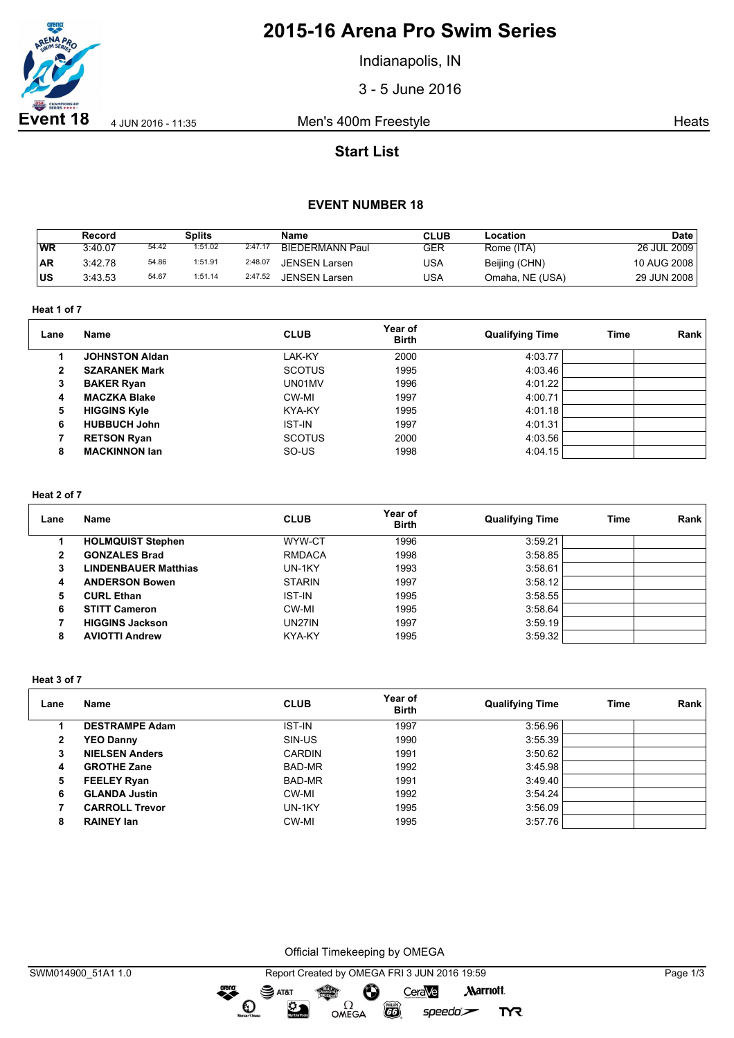

# **2015-16 Arena Pro Swim Series**

Indianapolis, IN

3 - 5 June 2016

**Event 18** 4 Jun 2016 - 11:35 Men's 400m Freestyle **Heats** Heats

## **Start List**

### **EVENT NUMBER 18**

|           | Record  |       | <b>Splits</b> |         | <b>Name</b>            | <b>CLUB</b> | Location        | <b>Date</b> |
|-----------|---------|-------|---------------|---------|------------------------|-------------|-----------------|-------------|
| <b>WR</b> | 3:40.07 | 54.42 | 1:51.02       | 2:47.17 | <b>BIEDERMANN Paul</b> | GER         | Rome (ITA)      | 26 JUL 2009 |
| ∣AR       | 3:42.78 | 54.86 | 1:51.91       | 2:48.07 | <b>JENSEN Larsen</b>   | USA         | Beijing (CHN)   | 10 AUG 2008 |
| lus       | 3:43.53 | 54.67 | 1:51.14       | 2:47.52 | JENSEN Larsen          | USA         | Omaha, NE (USA) | 29 JUN 2008 |

**Heat 1 of 7**

| Lane         | <b>Name</b>           | <b>CLUB</b>   | Year of<br><b>Birth</b> | <b>Qualifying Time</b> | Time | Rank |
|--------------|-----------------------|---------------|-------------------------|------------------------|------|------|
|              | <b>JOHNSTON Aldan</b> | LAK-KY        | 2000                    | 4:03.77                |      |      |
| $\mathbf{2}$ | <b>SZARANEK Mark</b>  | <b>SCOTUS</b> | 1995                    | 4:03.46                |      |      |
| 3            | <b>BAKER Ryan</b>     | UN01MV        | 1996                    | 4:01.22                |      |      |
| 4            | <b>MACZKA Blake</b>   | CW-MI         | 1997                    | 4:00.71                |      |      |
| 5            | <b>HIGGINS Kyle</b>   | KYA-KY        | 1995                    | 4:01.18                |      |      |
| 6            | <b>HUBBUCH John</b>   | <b>IST-IN</b> | 1997                    | 4:01.31                |      |      |
|              | <b>RETSON Ryan</b>    | <b>SCOTUS</b> | 2000                    | 4:03.56                |      |      |
| 8            | <b>MACKINNON lan</b>  | SO-US         | 1998                    | 4:04.15                |      |      |

#### **Heat 2 of 7**

| Lane | <b>Name</b>                 | <b>CLUB</b>   | Year of<br><b>Birth</b> | <b>Qualifying Time</b> | Time | Rank |
|------|-----------------------------|---------------|-------------------------|------------------------|------|------|
|      | <b>HOLMQUIST Stephen</b>    | WYW-CT        | 1996                    | 3:59.21                |      |      |
| 2    | <b>GONZALES Brad</b>        | <b>RMDACA</b> | 1998                    | 3:58.85                |      |      |
| 3    | <b>LINDENBAUER Matthias</b> | UN-1KY        | 1993                    | 3:58.61                |      |      |
| 4    | <b>ANDERSON Bowen</b>       | <b>STARIN</b> | 1997                    | 3:58.12                |      |      |
| 5    | <b>CURL Ethan</b>           | <b>IST-IN</b> | 1995                    | 3:58.55                |      |      |
| 6    | <b>STITT Cameron</b>        | CW-MI         | 1995                    | 3:58.64                |      |      |
|      | <b>HIGGINS Jackson</b>      | <b>UN27IN</b> | 1997                    | 3:59.19                |      |      |
| 8    | <b>AVIOTTI Andrew</b>       | KYA-KY        | 1995                    | 3:59.32                |      |      |

**Heat 3 of 7**

| Lane | Name                  | <b>CLUB</b>   | Year of<br><b>Birth</b> | <b>Qualifying Time</b> | Time | Rank |
|------|-----------------------|---------------|-------------------------|------------------------|------|------|
|      | <b>DESTRAMPE Adam</b> | <b>IST-IN</b> | 1997                    | 3:56.96                |      |      |
| 2    | <b>YEO Danny</b>      | SIN-US        | 1990                    | 3:55.39                |      |      |
| 3    | <b>NIELSEN Anders</b> | <b>CARDIN</b> | 1991                    | 3:50.62                |      |      |
| 4    | <b>GROTHE Zane</b>    | BAD-MR        | 1992                    | 3:45.98                |      |      |
| 5    | <b>FEELEY Ryan</b>    | BAD-MR        | 1991                    | 3:49.40                |      |      |
| 6    | <b>GLANDA Justin</b>  | CW-MI         | 1992                    | 3:54.24                |      |      |
|      | <b>CARROLL Trevor</b> | UN-1KY        | 1995                    | 3:56.09                |      |      |
| 8    | <b>RAINEY Ian</b>     | CW-MI         | 1995                    | 3:57.76                |      |      |

Official Timekeeping by OMEGA

dreng:

 $\mathbf{O}$ 

 $\mathfrak{D}$ 

 $\overline{G}$ 

 $speedo$ 

**TYR**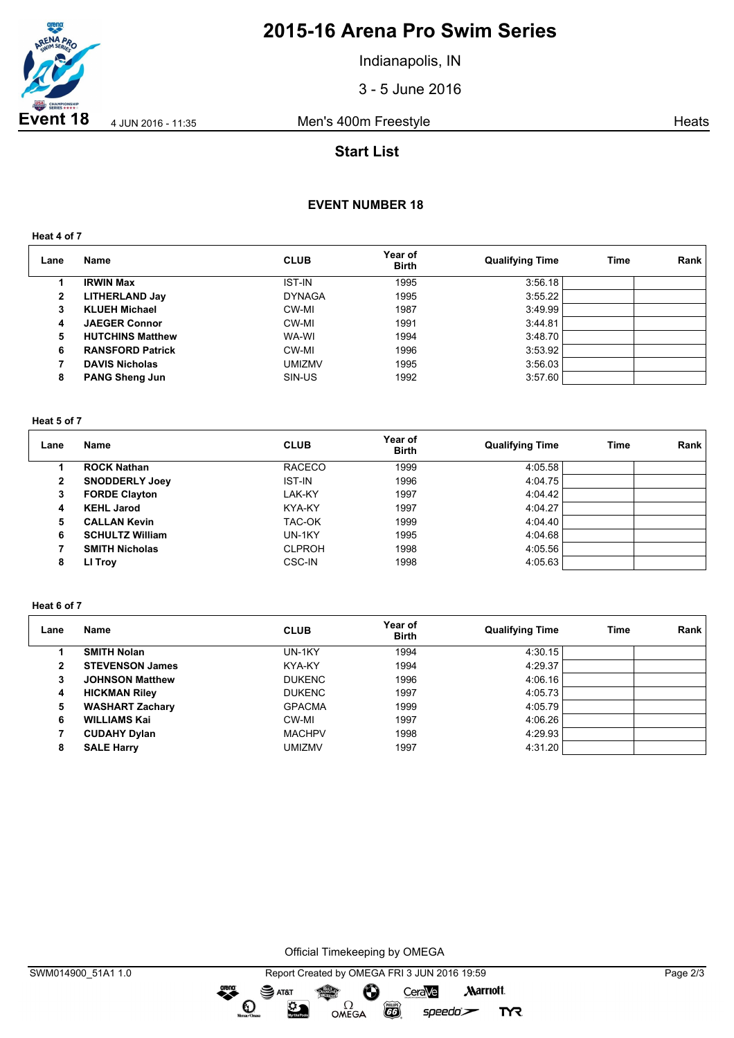

# **2015-16 Arena Pro Swim Series**

Indianapolis, IN

3 - 5 June 2016

**Event 18** 4 Jun 2016 - 11:35 Men's 400m Freestyle **Heats** Heats

## **Start List**

### **EVENT NUMBER 18**

**Heat 4 of 7**

| Lane | <b>Name</b>             | <b>CLUB</b>   | Year of<br><b>Birth</b> | <b>Qualifying Time</b> | Time | Rank |
|------|-------------------------|---------------|-------------------------|------------------------|------|------|
|      | <b>IRWIN Max</b>        | <b>IST-IN</b> | 1995                    | 3:56.18                |      |      |
| 2    | <b>LITHERLAND Jay</b>   | <b>DYNAGA</b> | 1995                    | 3:55.22                |      |      |
| 3    | <b>KLUEH Michael</b>    | CW-MI         | 1987                    | 3:49.99                |      |      |
| 4    | <b>JAEGER Connor</b>    | CW-MI         | 1991                    | 3:44.81                |      |      |
| 5    | <b>HUTCHINS Matthew</b> | WA-WI         | 1994                    | 3:48.70                |      |      |
| 6    | <b>RANSFORD Patrick</b> | CW-MI         | 1996                    | 3:53.92                |      |      |
|      | <b>DAVIS Nicholas</b>   | umizmv        | 1995                    | 3:56.03                |      |      |
| 8    | <b>PANG Sheng Jun</b>   | SIN-US        | 1992                    | 3:57.60                |      |      |

#### **Heat 5 of 7**

| Lane | <b>Name</b>            | <b>CLUB</b>   | Year of<br><b>Birth</b> | <b>Qualifying Time</b> | Time | Rank |
|------|------------------------|---------------|-------------------------|------------------------|------|------|
|      | <b>ROCK Nathan</b>     | <b>RACECO</b> | 1999                    | 4:05.58                |      |      |
| 2    | <b>SNODDERLY Joey</b>  | <b>IST-IN</b> | 1996                    | 4:04.75                |      |      |
| 3    | <b>FORDE Clayton</b>   | LAK-KY        | 1997                    | 4:04.42                |      |      |
| 4    | <b>KEHL Jarod</b>      | KYA-KY        | 1997                    | 4:04.27                |      |      |
| 5    | <b>CALLAN Kevin</b>    | TAC-OK        | 1999                    | 4:04.40                |      |      |
| 6    | <b>SCHULTZ William</b> | UN-1KY        | 1995                    | 4:04.68                |      |      |
|      | <b>SMITH Nicholas</b>  | <b>CLPROH</b> | 1998                    | 4:05.56                |      |      |
| 8    | LI Troy                | <b>CSC-IN</b> | 1998                    | 4:05.63                |      |      |

#### **Heat 6 of 7**

| Lane | Name                   | <b>CLUB</b>   | Year of<br><b>Birth</b> | <b>Qualifying Time</b> | Time | Rank |
|------|------------------------|---------------|-------------------------|------------------------|------|------|
|      | <b>SMITH Nolan</b>     | UN-1KY        | 1994                    | 4:30.15                |      |      |
| 2    | <b>STEVENSON James</b> | KYA-KY        | 1994                    | 4:29.37                |      |      |
| 3    | <b>JOHNSON Matthew</b> | <b>DUKENC</b> | 1996                    | 4:06.16                |      |      |
| 4    | <b>HICKMAN Riley</b>   | <b>DUKENC</b> | 1997                    | 4:05.73                |      |      |
| 5    | <b>WASHART Zachary</b> | <b>GPACMA</b> | 1999                    | 4:05.79                |      |      |
| 6    | <b>WILLIAMS Kai</b>    | CW-MI         | 1997                    | 4:06.26                |      |      |
|      | <b>CUDAHY Dylan</b>    | <b>MACHPV</b> | 1998                    | 4:29.93                |      |      |
| 8    | <b>SALE Harry</b>      | <b>UMIZMV</b> | 1997                    | 4:31.20                |      |      |

Official Timekeeping by OMEGA

dreng: